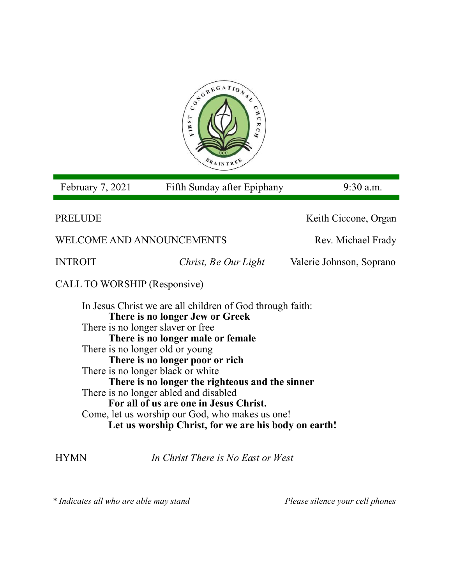

February 7, 2021 Fifth Sunday after Epiphany 9:30 a.m.

PRELUDE Keith Ciccone, Organ WELCOME AND ANNOUNCEMENTS Rev. Michael Frady INTROIT *Christ, Be Our Light* Valerie Johnson, Soprano CALL TO WORSHIP (Responsive) In Jesus Christ we are all children of God through faith: **There is no longer Jew or Greek** There is no longer slaver or free **There is no longer male or female** There is no longer old or young **There is no longer poor or rich**

There is no longer black or white **There is no longer the righteous and the sinner** There is no longer abled and disabled **For all of us are one in Jesus Christ.** Come, let us worship our God, who makes us one! **Let us worship Christ, for we are his body on earth!**

HYMN *In Christ There is No East or West* 

*\* Indicates all who are able may stand Please silence your cell phones*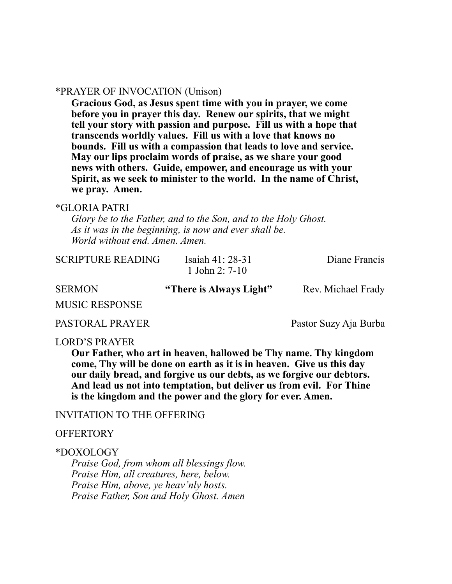### \*PRAYER OF INVOCATION (Unison)

**Gracious God, as Jesus spent time with you in prayer, we come before you in prayer this day. Renew our spirits, that we might tell your story with passion and purpose. Fill us with a hope that transcends worldly values. Fill us with a love that knows no bounds. Fill us with a compassion that leads to love and service. May our lips proclaim words of praise, as we share your good news with others. Guide, empower, and encourage us with your Spirit, as we seek to minister to the world. In the name of Christ, we pray. Amen.**

### \*GLORIA PATRI

*Glory be to the Father, and to the Son, and to the Holy Ghost. As it was in the beginning, is now and ever shall be. World without end. Amen. Amen.* 

| CDINION           | $\mathcal{L}$ There is Almere I in $\mathcal{L}$ | $D_{\text{max}} M_{\text{max}}^{\prime}$ 1. $\pm 1$ $D_{\text{max}}$ 1. |
|-------------------|--------------------------------------------------|-------------------------------------------------------------------------|
|                   | 1 John 2: $7-10$                                 |                                                                         |
| SCRIPTURE READING | Isaiah $41:28-31$                                | Diane Francis                                                           |

SERMON **"There is Always Light"** Rev. Michael Frady

MUSIC RESPONSE

PASTORAL PRAYER Pastor Suzy Aja Burba

#### LORD'S PRAYER

**Our Father, who art in heaven, hallowed be Thy name. Thy kingdom come, Thy will be done on earth as it is in heaven. Give us this day our daily bread, and forgive us our debts, as we forgive our debtors. And lead us not into temptation, but deliver us from evil. For Thine is the kingdom and the power and the glory for ever. Amen.**

### INVITATION TO THE OFFERING

#### **OFFERTORY**

#### \*DOXOLOGY

*Praise God, from whom all blessings flow. Praise Him, all creatures, here, below. Praise Him, above, ye heav'nly hosts. Praise Father, Son and Holy Ghost. Amen*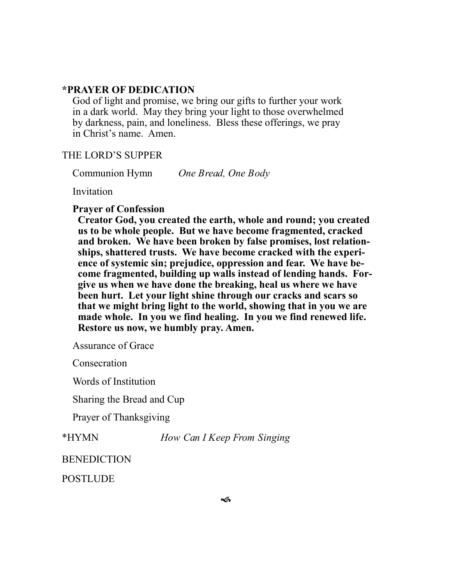# **\*PRAYER OF DEDICATION**

God of light and promise, we bring our gifts to further your work in a dark world. May they bring your light to those overwhelmed by darkness, pain, and loneliness. Bless these offerings, we pray in Christ's name. Amen.

## THE LORD'S SUPPER

Communion Hymn *One Bread, One Body* 

Invitation

### **Prayer of Confession**

**Creator God, you created the earth, whole and round; you created us to be whole people. But we have become fragmented, cracked and broken. We have been broken by false promises, lost relationships, shattered trusts. We have become cracked with the experience of systemic sin; prejudice, oppression and fear. We have become fragmented, building up walls instead of lending hands. Forgive us when we have done the breaking, heal us where we have been hurt. Let your light shine through our cracks and scars so that we might bring light to the world, showing that in you we are made whole. In you we find healing. In you we find renewed life. Restore us now, we humbly pray. Amen.**

Assurance of Grace

**Consecration** 

Words of Institution

Sharing the Bread and Cup

Prayer of Thanksgiving

\*HYMN *How Can I Keep From Singing*

**BENEDICTION** 

**POSTLUDE**